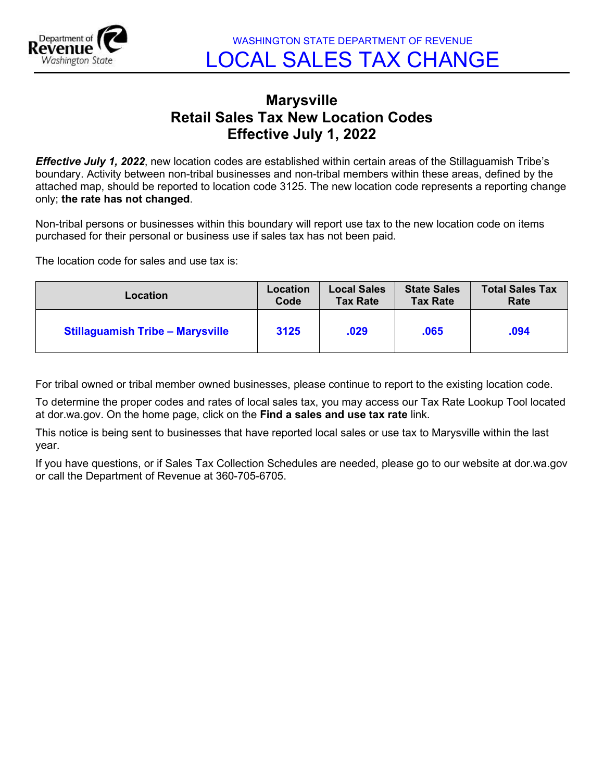

## **Marysville Retail Sales Tax New Location Codes Effective July 1, 2022**

*Effective July 1, 2022*, new location codes are established within certain areas of the Stillaguamish Tribe's boundary. Activity between non-tribal businesses and non-tribal members within these areas, defined by the attached map, should be reported to location code 3125. The new location code represents a reporting change only; **the rate has not changed**.

Non-tribal persons or businesses within this boundary will report use tax to the new location code on items purchased for their personal or business use if sales tax has not been paid.

The location code for sales and use tax is:

| Location                                | Location | <b>Local Sales</b> | <b>State Sales</b> | <b>Total Sales Tax</b> |
|-----------------------------------------|----------|--------------------|--------------------|------------------------|
|                                         | Code     | <b>Tax Rate</b>    | <b>Tax Rate</b>    | Rate                   |
| <b>Stillaguamish Tribe - Marysville</b> | 3125     | .029               | .065               | .094                   |

For tribal owned or tribal member owned businesses, please continue to report to the existing location code.

To determine the proper codes and rates of local sales tax, you may access our Tax Rate Lookup Tool located at dor.wa.gov. On the home page, click on the **Find a sales and use tax rate** link.

This notice is being sent to businesses that have reported local sales or use tax to Marysville within the last year.

If you have questions, or if Sales Tax Collection Schedules are needed, please go to our website at dor.wa.gov or call the Department of Revenue at 360-705-6705.